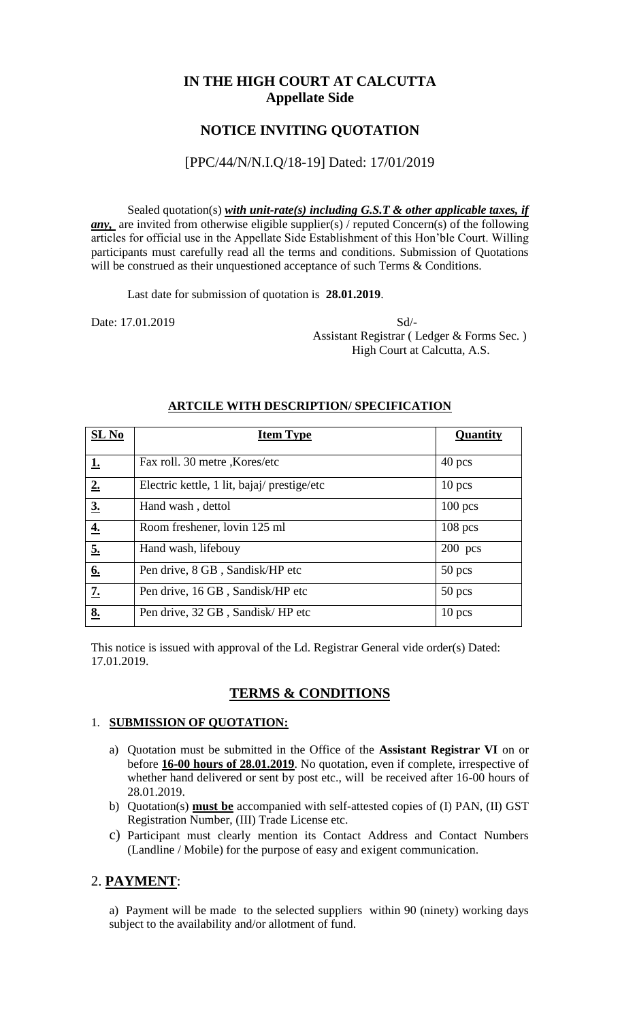## **IN THE HIGH COURT AT CALCUTTA Appellate Side**

## **NOTICE INVITING QUOTATION**

#### [PPC/44/N/N.I.Q/18-19] Dated: 17/01/2019

Sealed quotation(s) *with unit-rate(s) including G.S.T & other applicable taxes, if any*, are invited from otherwise eligible supplier(s) / reputed Concern(s) of the following articles for official use in the Appellate Side Establishment of this Hon'ble Court. Willing participants must carefully read all the terms and conditions. Submission of Quotations will be construed as their unquestioned acceptance of such Terms & Conditions.

Last date for submission of quotation is **28.01.2019**.

Date: 17.01.2019 Sd/- Assistant Registrar ( Ledger & Forms Sec. ) High Court at Calcutta, A.S.

| SL No     | <b>Item Type</b>                           | Quantity  |
|-----------|--------------------------------------------|-----------|
| <u>1.</u> | Fax roll. 30 metre , Kores/etc             | $40$ pcs  |
| 2.        | Electric kettle, 1 lit, bajaj/prestige/etc | $10$ pcs  |
| 3.        | Hand wash, dettol                          | $100$ pcs |
| <u>4.</u> | Room freshener, lovin 125 ml               | $108$ pcs |
| 5.        | Hand wash, lifebouy                        | $200$ pcs |
| 6.        | Pen drive, 8 GB, Sandisk/HP etc            | $50$ pcs  |
| 7.        | Pen drive, 16 GB, Sandisk/HP etc           | $50$ pcs  |
| 8.        | Pen drive, 32 GB, Sandisk/HP etc           | $10$ pcs  |

#### **ARTCILE WITH DESCRIPTION/ SPECIFICATION**

This notice is issued with approval of the Ld. Registrar General vide order(s) Dated: 17.01.2019.

## **TERMS & CONDITIONS**

#### 1. **SUBMISSION OF QUOTATION:**

- a) Quotation must be submitted in the Office of the **Assistant Registrar VI** on or before **16-00 hours of 28.01.2019**. No quotation, even if complete, irrespective of whether hand delivered or sent by post etc., will be received after 16-00 hours of 28.01.2019.
- b) Quotation(s) **must be** accompanied with self-attested copies of (I) PAN, (II) GST Registration Number, (III) Trade License etc.
- c) Participant must clearly mention its Contact Address and Contact Numbers (Landline / Mobile) for the purpose of easy and exigent communication.

## 2. **PAYMENT**:

a) Payment will be made to the selected suppliers within 90 (ninety) working days subject to the availability and/or allotment of fund.